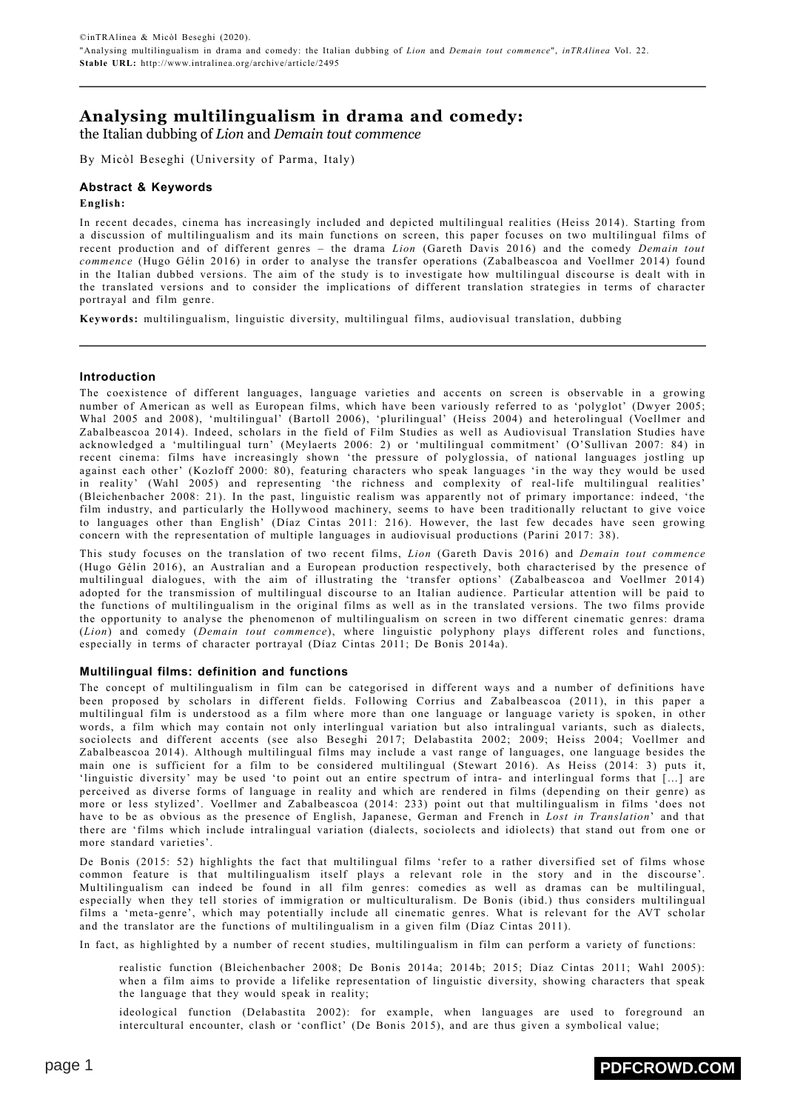# **Analysing multilingualism in drama and comedy:**

the Italian dubbing of *Lion* and *Demain tout commence*

By Micòl Beseghi (University of Parma, Italy)

## **Abstract & Keywords**

### **English:**

In recent decades, cinema has increasingly included and depicted multilingual realities (Heiss 2014). Starting from a discussion of multilingualism and its main functions on screen, this paper focuses on two multilingual films of recent production and of different genres – the drama *Lion* (Gareth Davis 2016) and the comedy *Demain tout commence* (Hugo Gélin 2016) in order to analyse the transfer operations (Zabalbeascoa and Voellmer 2014) found in the Italian dubbed versions. The aim of the study is to investigate how multilingual discourse is dealt with in the translated versions and to consider the implications of different translation strategies in terms of character portrayal and film genre.

**Keywords:** multilingualism, linguistic diversity, multilingual films, audiovisual translation, dubbing

### **Introduction**

The coexistence of different languages, language varieties and accents on screen is observable in a growing number of American as well as European films, which have been variously referred to as 'polyglot' (Dwyer 2005; Whal 2005 and 2008), 'multilingual' (Bartoll 2006), 'plurilingual' (Heiss 2004) and heterolingual (Voellmer and Zabalbeascoa 2014). Indeed, scholars in the field of Film Studies as well as Audiovisual Translation Studies have acknowledged a 'multilingual turn' (Meylaerts 2006: 2) or 'multilingual commitment' (O'Sullivan 2007: 84) in recent cinema: films have increasingly shown 'the pressure of polyglossia, of national languages jostling up against each other' (Kozloff 2000: 80), featuring characters who speak languages 'in the way they would be used in reality' (Wahl 2005) and representing 'the richness and complexity of real-life multilingual realities' (Bleichenbacher 2008: 21). In the past, linguistic realism was apparently not of primary importance: indeed, 'the film industry, and particularly the Hollywood machinery, seems to have been traditionally reluctant to give voice to languages other than English' (Díaz Cintas 2011: 216). However, the last few decades have seen growing concern with the representation of multiple languages in audiovisual productions (Parini 2017: 38).

This study focuses on the translation of two recent films, *Lion* (Gareth Davis 2016) and *Demain tout commence* (Hugo Gélin 2016), an Australian and a European production respectively, both characterised by the presence of multilingual dialogues, with the aim of illustrating the 'transfer options' (Zabalbeascoa and Voellmer 2014) adopted for the transmission of multilingual discourse to an Italian audience. Particular attention will be paid to the functions of multilingualism in the original films as well as in the translated versions. The two films provide the opportunity to analyse the phenomenon of multilingualism on screen in two different cinematic genres: drama (*Lion*) and comedy (*Demain tout commence*), where linguistic polyphony plays different roles and functions, especially in terms of character portrayal (Díaz Cintas 2011; De Bonis 2014a).

### **Multilingual films: definition and functions**

The concept of multilingualism in film can be categorised in different ways and a number of definitions have been proposed by scholars in different fields. Following Corrius and Zabalbeascoa (2011), in this paper a multilingual film is understood as a film where more than one language or language variety is spoken, in other words, a film which may contain not only interlingual variation but also intralingual variants, such as dialects, sociolects and different accents (see also Beseghi 2017; Delabastita 2002; 2009; Heiss 2004; Voellmer and Zabalbeascoa 2014). Although multilingual films may include a vast range of languages, one language besides the main one is sufficient for a film to be considered multilingual (Stewart 2016). As Heiss (2014: 3) puts it, 'linguistic diversity' may be used 'to point out an entire spectrum of intra- and interlingual forms that […] are perceived as diverse forms of language in reality and which are rendered in films (depending on their genre) as more or less stylized'. Voellmer and Zabalbeascoa (2014: 233) point out that multilingualism in films 'does not have to be as obvious as the presence of English, Japanese, German and French in *Lost in Translation*' and that there are 'films which include intralingual variation (dialects, sociolects and idiolects) that stand out from one or more standard varieties'.

De Bonis (2015: 52) highlights the fact that multilingual films 'refer to a rather diversified set of films whose common feature is that multilingualism itself plays a relevant role in the story and in the discourse'. Multilingualism can indeed be found in all film genres: comedies as well as dramas can be multilingual, especially when they tell stories of immigration or multiculturalism. De Bonis (ibid.) thus considers multilingual films a 'meta-genre', which may potentially include all cinematic genres. What is relevant for the AVT scholar and the translator are the functions of multilingualism in a given film (Díaz Cintas 2011).

In fact, as highlighted by a number of recent studies, multilingualism in film can perform a variety of functions:

realistic function (Bleichenbacher 2008; De Bonis 2014a; 2014b; 2015; Díaz Cintas 2011; Wahl 2005): when a film aims to provide a lifelike representation of linguistic diversity, showing characters that speak the language that they would speak in reality;

ideological function (Delabastita 2002): for example, when languages are used to foreground an intercultural encounter, clash or 'conflict' (De Bonis 2015), and are thus given a symbolical value;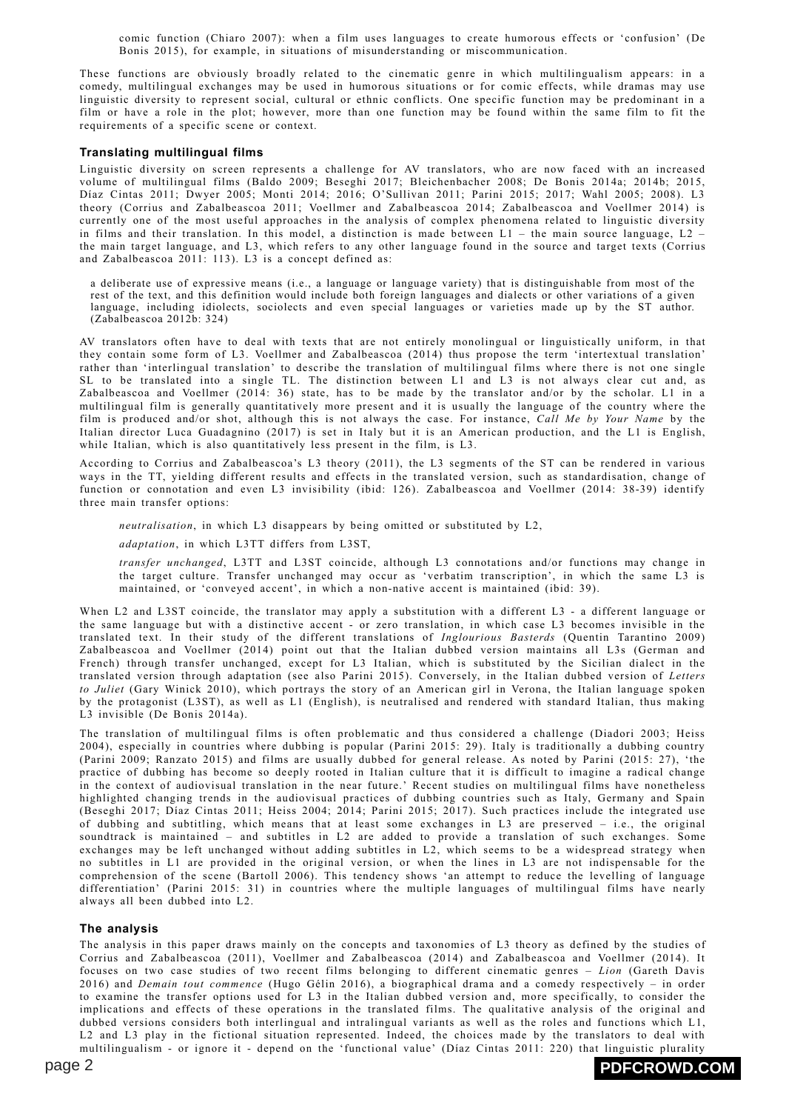comic function (Chiaro 2007): when a film uses languages to create humorous effects or 'confusion' (De Bonis 2015), for example, in situations of misunderstanding or miscommunication.

These functions are obviously broadly related to the cinematic genre in which multilingualism appears: in a comedy, multilingual exchanges may be used in humorous situations or for comic effects, while dramas may use linguistic diversity to represent social, cultural or ethnic conflicts. One specific function may be predominant in a film or have a role in the plot; however, more than one function may be found within the same film to fit the requirements of a specific scene or context.

### **Translating multilingual films**

Linguistic diversity on screen represents a challenge for AV translators, who are now faced with an increased volume of multilingual films (Baldo 2009; Beseghi 2017; Bleichenbacher 2008; De Bonis 2014a; 2014b; 2015, Díaz Cintas 2011; Dwyer 2005; Monti 2014; 2016; O'Sullivan 2011; Parini 2015; 2017; Wahl 2005; 2008). L3 theory (Corrius and Zabalbeascoa 2011; Voellmer and Zabalbeascoa 2014; Zabalbeascoa and Voellmer 2014) is currently one of the most useful approaches in the analysis of complex phenomena related to linguistic diversity in films and their translation. In this model, a distinction is made between  $L1$  – the main source language,  $L2$  – the main target language, and L3, which refers to any other language found in the source and target texts (Corrius and Zabalbeascoa 2011: 113). L3 is a concept defined as:

a deliberate use of expressive means (i.e., a language or language variety) that is distinguishable from most of the rest of the text, and this definition would include both foreign languages and dialects or other variations of a given language, including idiolects, sociolects and even special languages or varieties made up by the ST author. (Zabalbeascoa 2012b: 324)

AV translators often have to deal with texts that are not entirely monolingual or linguistically uniform, in that they contain some form of L3. Voellmer and Zabalbeascoa (2014) thus propose the term 'intertextual translation' rather than 'interlingual translation' to describe the translation of multilingual films where there is not one single SL to be translated into a single TL. The distinction between L1 and L3 is not always clear cut and, as Zabalbeascoa and Voellmer (2014: 36) state, has to be made by the translator and/or by the scholar. L1 in a multilingual film is generally quantitatively more present and it is usually the language of the country where the film is produced and/or shot, although this is not always the case. For instance, *Call Me by Your Name* by the Italian director Luca Guadagnino (2017) is set in Italy but it is an American production, and the L1 is English, while Italian, which is also quantitatively less present in the film, is L3.

According to Corrius and Zabalbeascoa's L3 theory (2011), the L3 segments of the ST can be rendered in various ways in the TT, yielding different results and effects in the translated version, such as standardisation, change of function or connotation and even L3 invisibility (ibid: 126). Zabalbeascoa and Voellmer (2014: 38-39) identify three main transfer options:

*neutralisation*, in which L3 disappears by being omitted or substituted by L2,

*adaptation*, in which L3TT differs from L3ST,

*transfer unchanged*, L3TT and L3ST coincide, although L3 connotations and/or functions may change in the target culture. Transfer unchanged may occur as 'verbatim transcription', in which the same L3 is maintained, or 'conveyed accent', in which a non-native accent is maintained (ibid: 39).

When L2 and L3ST coincide, the translator may apply a substitution with a different L3 - a different language or the same language but with a distinctive accent - or zero translation, in which case L3 becomes invisible in the translated text. In their study of the different translations of *Inglourious Basterds* (Quentin Tarantino 2009) Zabalbeascoa and Voellmer (2014) point out that the Italian dubbed version maintains all L3s (German and French) through transfer unchanged, except for L3 Italian, which is substituted by the Sicilian dialect in the translated version through adaptation (see also Parini 2015). Conversely, in the Italian dubbed version of *Letters to Juliet* (Gary Winick 2010), which portrays the story of an American girl in Verona, the Italian language spoken by the protagonist (L3ST), as well as L1 (English), is neutralised and rendered with standard Italian, thus making L3 invisible (De Bonis 2014a).

The translation of multilingual films is often problematic and thus considered a challenge (Diadori 2003; Heiss 2004), especially in countries where dubbing is popular (Parini 2015: 29). Italy is traditionally a dubbing country (Parini 2009; Ranzato 2015) and films are usually dubbed for general release. As noted by Parini (2015: 27), 'the practice of dubbing has become so deeply rooted in Italian culture that it is difficult to imagine a radical change in the context of audiovisual translation in the near future.' Recent studies on multilingual films have nonetheless highlighted changing trends in the audiovisual practices of dubbing countries such as Italy, Germany and Spain (Beseghi 2017; Díaz Cintas 2011; Heiss 2004; 2014; Parini 2015; 2017). Such practices include the integrated use of dubbing and subtitling, which means that at least some exchanges in L3 are preserved – i.e., the original soundtrack is maintained – and subtitles in L2 are added to provide a translation of such exchanges. Some exchanges may be left unchanged without adding subtitles in L2, which seems to be a widespread strategy when no subtitles in L1 are provided in the original version, or when the lines in L3 are not indispensable for the comprehension of the scene (Bartoll 2006). This tendency shows 'an attempt to reduce the levelling of language differentiation' (Parini 2015: 31) in countries where the multiple languages of multilingual films have nearly always all been dubbed into L2.

### **The analysis**

The analysis in this paper draws mainly on the concepts and taxonomies of L3 theory as defined by the studies of Corrius and Zabalbeascoa (2011), Voellmer and Zabalbeascoa (2014) and Zabalbeascoa and Voellmer (2014). It focuses on two case studies of two recent films belonging to different cinematic genres – *Lion* (Gareth Davis 2016) and *Demain tout commence* (Hugo Gélin 2016), a biographical drama and a comedy respectively – in order to examine the transfer options used for L3 in the Italian dubbed version and, more specifically, to consider the implications and effects of these operations in the translated films. The qualitative analysis of the original and dubbed versions considers both interlingual and intralingual variants as well as the roles and functions which L1, L2 and L3 play in the fictional situation represented. Indeed, the choices made by the translators to deal with multilingualism - or ignore it - depend on the 'functional value' (Díaz Cintas 2011: 220) that linguistic plurality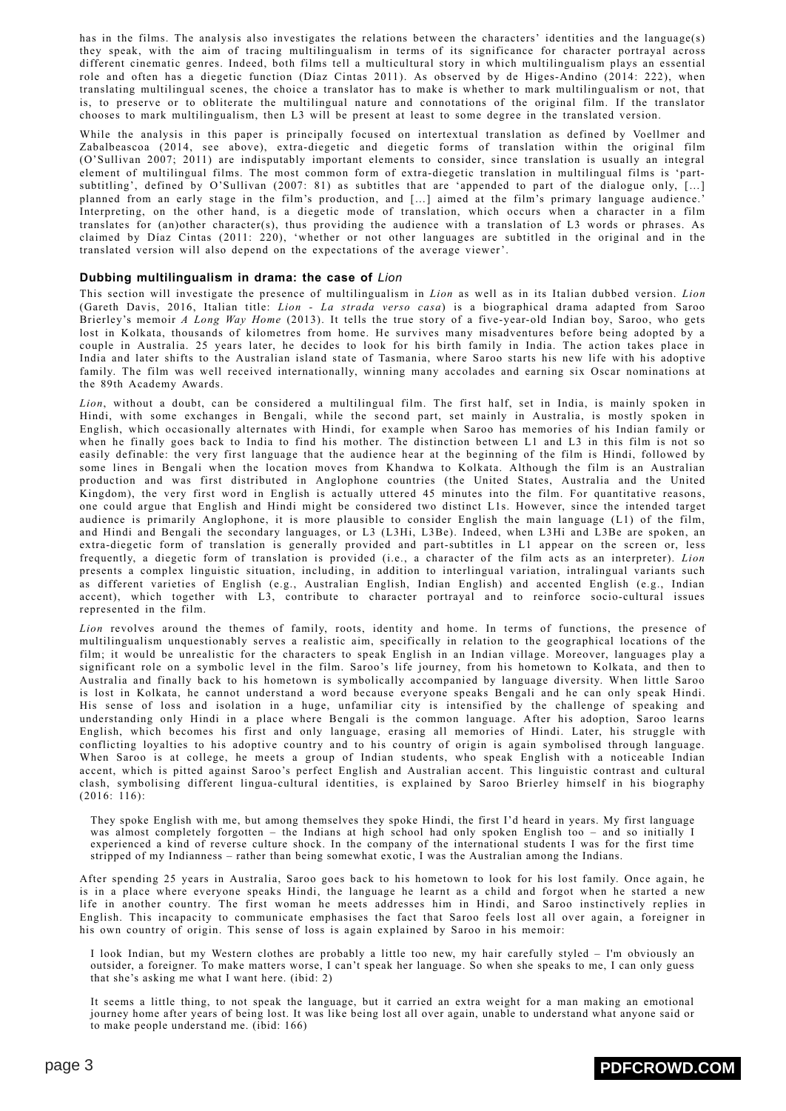has in the films. The analysis also investigates the relations between the characters' identities and the language(s) they speak, with the aim of tracing multilingualism in terms of its significance for character portrayal across different cinematic genres. Indeed, both films tell a multicultural story in which multilingualism plays an essential role and often has a diegetic function (Díaz Cintas 2011). As observed by de Higes-Andino (2014: 222), when translating multilingual scenes, the choice a translator has to make is whether to mark multilingualism or not, that is, to preserve or to obliterate the multilingual nature and connotations of the original film. If the translator chooses to mark multilingualism, then L3 will be present at least to some degree in the translated version.

While the analysis in this paper is principally focused on intertextual translation as defined by Voellmer and Zabalbeascoa (2014, see above), extra-diegetic and diegetic forms of translation within the original film (O'Sullivan 2007; 2011) are indisputably important elements to consider, since translation is usually an integral element of multilingual films. The most common form of extra-diegetic translation in multilingual films is 'partsubtitling', defined by O'Sullivan (2007: 81) as subtitles that are 'appended to part of the dialogue only, [...] planned from an early stage in the film's production, and […] aimed at the film's primary language audience.' Interpreting, on the other hand, is a diegetic mode of translation, which occurs when a character in a film translates for (an)other character(s), thus providing the audience with a translation of L3 words or phrases. As claimed by Díaz Cintas (2011: 220), 'whether or not other languages are subtitled in the original and in the translated version will also depend on the expectations of the average viewer'.

### **Dubbing multilingualism in drama: the case of** *Lion*

This section will investigate the presence of multilingualism in *Lion* as well as in its Italian dubbed version. *Lion* (Gareth Davis, 2016, Italian title: *Lion - La strada verso casa*) is a biographical drama adapted from Saroo Brierley's memoir *A Long Way Home* (2013). It tells the true story of a five-year-old Indian boy, Saroo, who gets lost in Kolkata, thousands of kilometres from home. He survives many misadventures before being adopted by a couple in Australia. 25 years later, he decides to look for his birth family in India. The action takes place in India and later shifts to the Australian island state of Tasmania, where Saroo starts his new life with his adoptive family. The film was well received internationally, winning many accolades and earning six Oscar nominations at the 89th Academy Awards.

*Lion*, without a doubt, can be considered a multilingual film. The first half, set in India, is mainly spoken in Hindi, with some exchanges in Bengali, while the second part, set mainly in Australia, is mostly spoken in English, which occasionally alternates with Hindi, for example when Saroo has memories of his Indian family or when he finally goes back to India to find his mother. The distinction between L1 and L3 in this film is not so easily definable: the very first language that the audience hear at the beginning of the film is Hindi, followed by some lines in Bengali when the location moves from Khandwa to Kolkata. Although the film is an Australian production and was first distributed in Anglophone countries (the United States, Australia and the United Kingdom), the very first word in English is actually uttered 45 minutes into the film. For quantitative reasons, one could argue that English and Hindi might be considered two distinct L1s. However, since the intended target audience is primarily Anglophone, it is more plausible to consider English the main language (L1) of the film, and Hindi and Bengali the secondary languages, or L3 (L3Hi, L3Be). Indeed, when L3Hi and L3Be are spoken, an extra-diegetic form of translation is generally provided and part-subtitles in L1 appear on the screen or, less frequently, a diegetic form of translation is provided (i.e., a character of the film acts as an interpreter). *Lion* presents a complex linguistic situation, including, in addition to interlingual variation, intralingual variants such as different varieties of English (e.g., Australian English, Indian English) and accented English (e.g., Indian accent), which together with L3, contribute to character portrayal and to reinforce socio-cultural issues represented in the film.

*Lion* revolves around the themes of family, roots, identity and home. In terms of functions, the presence of multilingualism unquestionably serves a realistic aim, specifically in relation to the geographical locations of the film; it would be unrealistic for the characters to speak English in an Indian village. Moreover, languages play a significant role on a symbolic level in the film. Saroo's life journey, from his hometown to Kolkata, and then to Australia and finally back to his hometown is symbolically accompanied by language diversity. When little Saroo is lost in Kolkata, he cannot understand a word because everyone speaks Bengali and he can only speak Hindi. His sense of loss and isolation in a huge, unfamiliar city is intensified by the challenge of speaking and understanding only Hindi in a place where Bengali is the common language. After his adoption, Saroo learns English, which becomes his first and only language, erasing all memories of Hindi. Later, his struggle with conflicting loyalties to his adoptive country and to his country of origin is again symbolised through language. When Saroo is at college, he meets a group of Indian students, who speak English with a noticeable Indian accent, which is pitted against Saroo's perfect English and Australian accent. This linguistic contrast and cultural clash, symbolising different lingua-cultural identities, is explained by Saroo Brierley himself in his biography (2016: 116):

They spoke English with me, but among themselves they spoke Hindi, the first I'd heard in years. My first language was almost completely forgotten – the Indians at high school had only spoken English too – and so initially I experienced a kind of reverse culture shock. In the company of the international students I was for the first time stripped of my Indianness – rather than being somewhat exotic, I was the Australian among the Indians.

After spending 25 years in Australia, Saroo goes back to his hometown to look for his lost family. Once again, he is in a place where everyone speaks Hindi, the language he learnt as a child and forgot when he started a new life in another country. The first woman he meets addresses him in Hindi, and Saroo instinctively replies in English. This incapacity to communicate emphasises the fact that Saroo feels lost all over again, a foreigner in his own country of origin. This sense of loss is again explained by Saroo in his memoir:

I look Indian, but my Western clothes are probably a little too new, my hair carefully styled – I'm obviously an outsider, a foreigner. To make matters worse, I can't speak her language. So when she speaks to me, I can only guess that she's asking me what I want here. (ibid: 2)

It seems a little thing, to not speak the language, but it carried an extra weight for a man making an emotional journey home after years of being lost. It was like being lost all over again, unable to understand what anyone said or to make people understand me. (ibid: 166)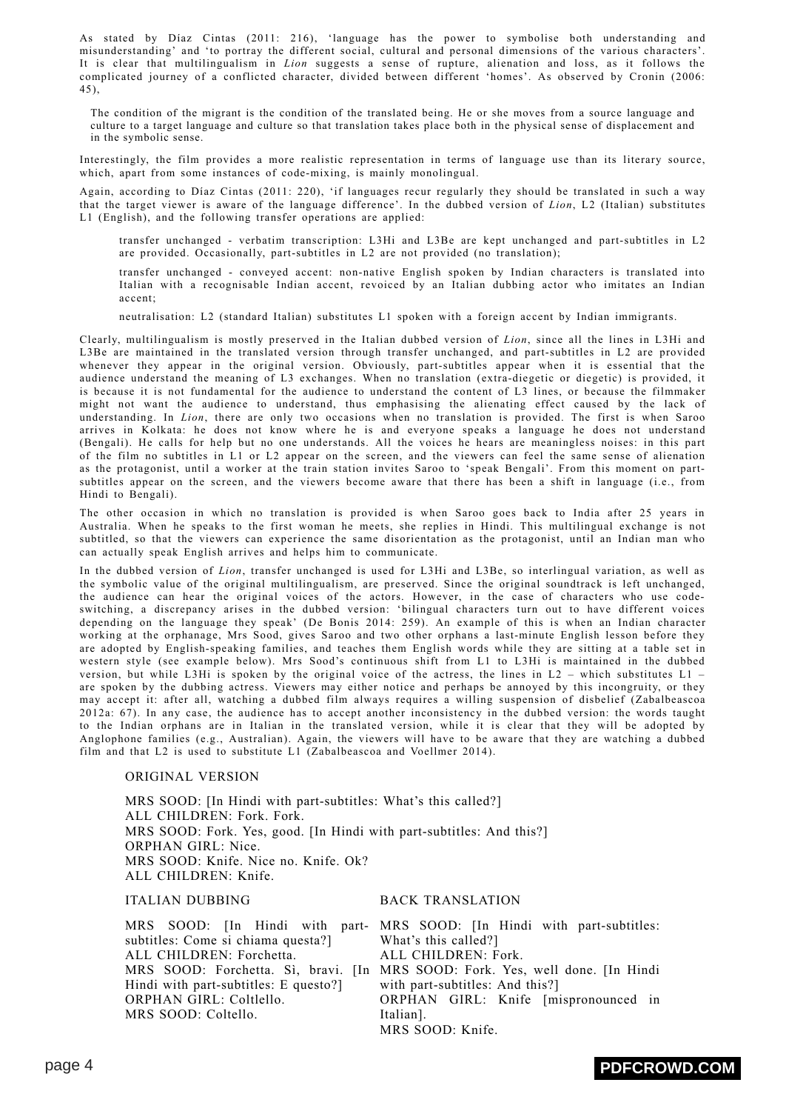As stated by Díaz Cintas (2011: 216), 'language has the power to symbolise both understanding and misunderstanding' and 'to portray the different social, cultural and personal dimensions of the various characters'. It is clear that multilingualism in *Lion* suggests a sense of rupture, alienation and loss, as it follows the complicated journey of a conflicted character, divided between different 'homes'. As observed by Cronin (2006: 45),

The condition of the migrant is the condition of the translated being. He or she moves from a source language and culture to a target language and culture so that translation takes place both in the physical sense of displacement and in the symbolic sense.

Interestingly, the film provides a more realistic representation in terms of language use than its literary source, which, apart from some instances of code-mixing, is mainly monolingual.

Again, according to Díaz Cintas (2011: 220), 'if languages recur regularly they should be translated in such a way that the target viewer is aware of the language difference'. In the dubbed version of *Lion*, L2 (Italian) substitutes L1 (English), and the following transfer operations are applied:

transfer unchanged - verbatim transcription: L3Hi and L3Be are kept unchanged and part-subtitles in L2 are provided. Occasionally, part-subtitles in L2 are not provided (no translation);

transfer unchanged - conveyed accent: non-native English spoken by Indian characters is translated into Italian with a recognisable Indian accent, revoiced by an Italian dubbing actor who imitates an Indian accent;

neutralisation: L2 (standard Italian) substitutes L1 spoken with a foreign accent by Indian immigrants.

Clearly, multilingualism is mostly preserved in the Italian dubbed version of *Lion*, since all the lines in L3Hi and L3Be are maintained in the translated version through transfer unchanged, and part-subtitles in L2 are provided whenever they appear in the original version. Obviously, part-subtitles appear when it is essential that the audience understand the meaning of L3 exchanges. When no translation (extra-diegetic or diegetic) is provided, it is because it is not fundamental for the audience to understand the content of L3 lines, or because the filmmaker might not want the audience to understand, thus emphasising the alienating effect caused by the lack of understanding. In *Lion*, there are only two occasions when no translation is provided. The first is when Saroo arrives in Kolkata: he does not know where he is and everyone speaks a language he does not understand (Bengali). He calls for help but no one understands. All the voices he hears are meaningless noises: in this part of the film no subtitles in L1 or L2 appear on the screen, and the viewers can feel the same sense of alienation as the protagonist, until a worker at the train station invites Saroo to 'speak Bengali'. From this moment on partsubtitles appear on the screen, and the viewers become aware that there has been a shift in language (i.e., from Hindi to Bengali).

The other occasion in which no translation is provided is when Saroo goes back to India after 25 years in Australia. When he speaks to the first woman he meets, she replies in Hindi. This multilingual exchange is not subtitled, so that the viewers can experience the same disorientation as the protagonist, until an Indian man who can actually speak English arrives and helps him to communicate.

In the dubbed version of *Lion*, transfer unchanged is used for L3Hi and L3Be, so interlingual variation, as well as the symbolic value of the original multilingualism, are preserved. Since the original soundtrack is left unchanged, the audience can hear the original voices of the actors. However, in the case of characters who use codeswitching, a discrepancy arises in the dubbed version: 'bilingual characters turn out to have different voices depending on the language they speak' (De Bonis 2014: 259). An example of this is when an Indian character working at the orphanage, Mrs Sood, gives Saroo and two other orphans a last-minute English lesson before they are adopted by English-speaking families, and teaches them English words while they are sitting at a table set in western style (see example below). Mrs Sood's continuous shift from L1 to L3Hi is maintained in the dubbed version, but while L3Hi is spoken by the original voice of the actress, the lines in L2 – which substitutes L1 – are spoken by the dubbing actress. Viewers may either notice and perhaps be annoyed by this incongruity, or they may accept it: after all, watching a dubbed film always requires a willing suspension of disbelief (Zabalbeascoa 2012a: 67). In any case, the audience has to accept another inconsistency in the dubbed version: the words taught to the Indian orphans are in Italian in the translated version, while it is clear that they will be adopted by Anglophone families (e.g., Australian). Again, the viewers will have to be aware that they are watching a dubbed film and that L2 is used to substitute L1 (Zabalbeascoa and Voellmer 2014).

### ORIGINAL VERSION

MRS SOOD: [In Hindi with part-subtitles: What's this called?] ALL CHILDREN: Fork. Fork. MRS SOOD: Fork. Yes, good. [In Hindi with part-subtitles: And this?] ORPHAN GIRL: Nice. MRS SOOD: Knife. Nice no. Knife. Ok? ALL CHILDREN: Knife.

ITALIAN DUBBING BACK TRANSLATION

MRS SOOD: [In Hindi with part-MRS SOOD: [In Hindi with part-subtitles: subtitles: Come si chiama questa?] ALL CHILDREN: Forchetta. MRS SOOD: Forchetta. Sì, bravi. [In MRS SOOD: Fork. Yes, well done. [In Hindi Hindi with part-subtitles: E questo?] ORPHAN GIRL: Coltlello. MRS SOOD: Coltello. What's this called?] ALL CHILDREN: Fork. with part-subtitles: And this?] ORPHAN GIRL: Knife [mispronounced in Italian]. MRS SOOD: Knife.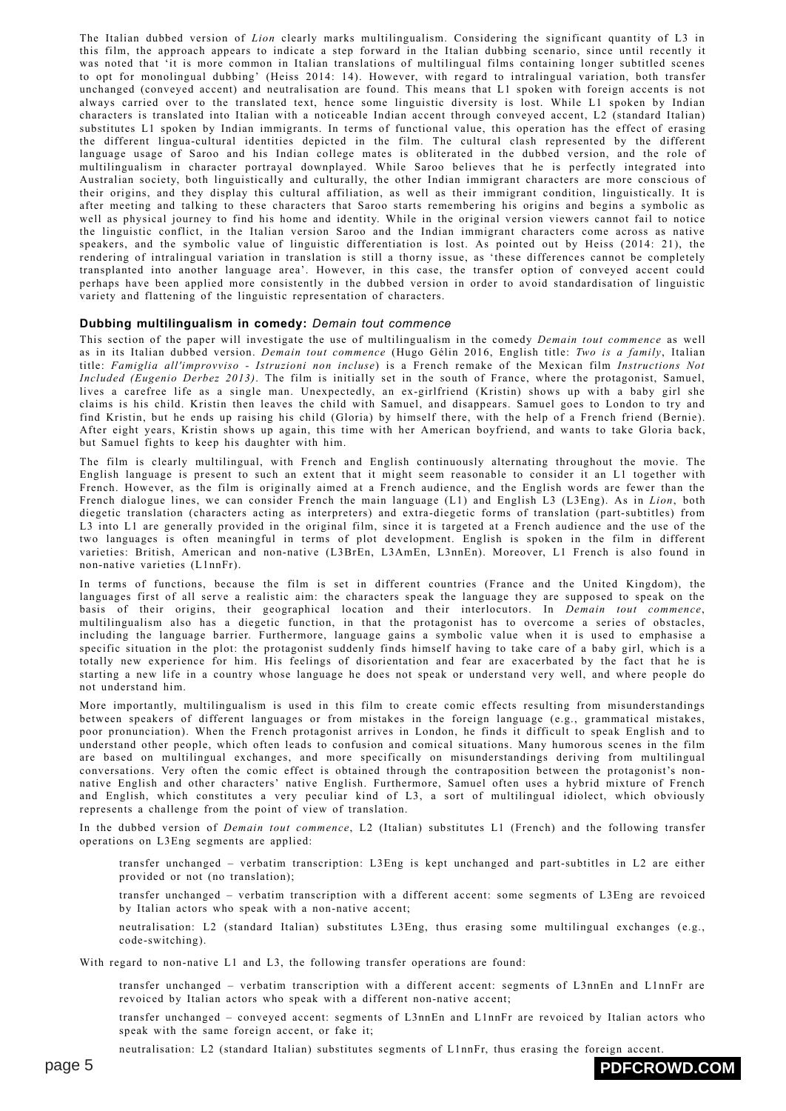The Italian dubbed version of *Lion* clearly marks multilingualism. Considering the significant quantity of L3 in this film, the approach appears to indicate a step forward in the Italian dubbing scenario, since until recently it was noted that 'it is more common in Italian translations of multilingual films containing longer subtitled scenes to opt for monolingual dubbing' (Heiss 2014: 14). However, with regard to intralingual variation, both transfer unchanged (conveyed accent) and neutralisation are found. This means that L1 spoken with foreign accents is not always carried over to the translated text, hence some linguistic diversity is lost. While L1 spoken by Indian characters is translated into Italian with a noticeable Indian accent through conveyed accent, L2 (standard Italian) substitutes L1 spoken by Indian immigrants. In terms of functional value, this operation has the effect of erasing the different lingua-cultural identities depicted in the film. The cultural clash represented by the different language usage of Saroo and his Indian college mates is obliterated in the dubbed version, and the role of multilingualism in character portrayal downplayed. While Saroo believes that he is perfectly integrated into Australian society, both linguistically and culturally, the other Indian immigrant characters are more conscious of their origins, and they display this cultural affiliation, as well as their immigrant condition, linguistically. It is after meeting and talking to these characters that Saroo starts remembering his origins and begins a symbolic as well as physical journey to find his home and identity. While in the original version viewers cannot fail to notice the linguistic conflict, in the Italian version Saroo and the Indian immigrant characters come across as native speakers, and the symbolic value of linguistic differentiation is lost. As pointed out by Heiss (2014: 21), the rendering of intralingual variation in translation is still a thorny issue, as 'these differences cannot be completely transplanted into another language area'. However, in this case, the transfer option of conveyed accent could perhaps have been applied more consistently in the dubbed version in order to avoid standardisation of linguistic variety and flattening of the linguistic representation of characters.

### **Dubbing multilingualism in comedy:** *Demain tout commence*

This section of the paper will investigate the use of multilingualism in the comedy *Demain tout commence* as well as in its Italian dubbed version. *Demain tout commence* (Hugo Gélin 2016, English title: *Two is a family*, Italian title: *Famiglia all'improvviso - Istruzioni non incluse*) is a French remake of the Mexican film *Instructions Not Included (Eugenio Derbez 2013)*. The film is initially set in the south of France, where the protagonist, Samuel, lives a carefree life as a single man. Unexpectedly, an ex-girlfriend (Kristin) shows up with a baby girl she claims is his child. Kristin then leaves the child with Samuel, and disappears. Samuel goes to London to try and find Kristin, but he ends up raising his child (Gloria) by himself there, with the help of a French friend (Bernie). After eight years, Kristin shows up again, this time with her American boyfriend, and wants to take Gloria back, but Samuel fights to keep his daughter with him.

The film is clearly multilingual, with French and English continuously alternating throughout the movie. The English language is present to such an extent that it might seem reasonable to consider it an L1 together with French. However, as the film is originally aimed at a French audience, and the English words are fewer than the French dialogue lines, we can consider French the main language (L1) and English L3 (L3Eng). As in *Lion*, both diegetic translation (characters acting as interpreters) and extra-diegetic forms of translation (part-subtitles) from L3 into L1 are generally provided in the original film, since it is targeted at a French audience and the use of the two languages is often meaningful in terms of plot development. English is spoken in the film in different varieties: British, American and non-native (L3BrEn, L3AmEn, L3nnEn). Moreover, L1 French is also found in non-native varieties (L1nnFr).

In terms of functions, because the film is set in different countries (France and the United Kingdom), the languages first of all serve a realistic aim: the characters speak the language they are supposed to speak on the basis of their origins, their geographical location and their interlocutors. In *Demain tout commence*, multilingualism also has a diegetic function, in that the protagonist has to overcome a series of obstacles, including the language barrier. Furthermore, language gains a symbolic value when it is used to emphasise a specific situation in the plot: the protagonist suddenly finds himself having to take care of a baby girl, which is a totally new experience for him. His feelings of disorientation and fear are exacerbated by the fact that he is starting a new life in a country whose language he does not speak or understand very well, and where people do not understand him.

More importantly, multilingualism is used in this film to create comic effects resulting from misunderstandings between speakers of different languages or from mistakes in the foreign language (e.g., grammatical mistakes, poor pronunciation). When the French protagonist arrives in London, he finds it difficult to speak English and to understand other people, which often leads to confusion and comical situations. Many humorous scenes in the film are based on multilingual exchanges, and more specifically on misunderstandings deriving from multilingual conversations. Very often the comic effect is obtained through the contraposition between the protagonist's nonnative English and other characters' native English. Furthermore, Samuel often uses a hybrid mixture of French and English, which constitutes a very peculiar kind of L3, a sort of multilingual idiolect, which obviously represents a challenge from the point of view of translation.

In the dubbed version of *Demain tout commence*, L2 (Italian) substitutes L1 (French) and the following transfer operations on L3Eng segments are applied:

transfer unchanged – verbatim transcription: L3Eng is kept unchanged and part-subtitles in L2 are either provided or not (no translation);

transfer unchanged – verbatim transcription with a different accent: some segments of L3Eng are revoiced by Italian actors who speak with a non-native accent;

neutralisation: L2 (standard Italian) substitutes L3Eng, thus erasing some multilingual exchanges (e.g., code-switching).

With regard to non-native L1 and L3, the following transfer operations are found:

transfer unchanged – verbatim transcription with a different accent: segments of L3nnEn and L1nnFr are revoiced by Italian actors who speak with a different non-native accent;

transfer unchanged – conveyed accent: segments of L3nnEn and L1nnFr are revoiced by Italian actors who speak with the same foreign accent, or fake it;

neutralisation: L2 (standard Italian) substitutes segments of L1nnFr, thus erasing the foreign accent.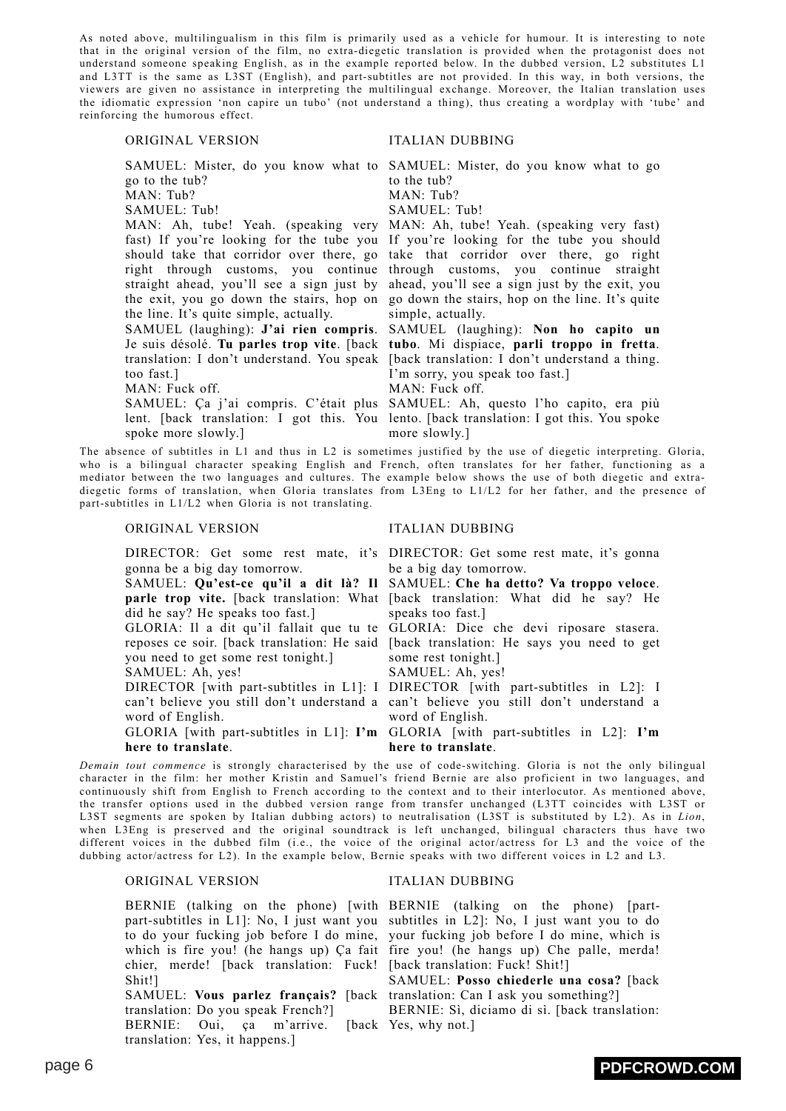As noted above, multilingualism in this film is primarily used as a vehicle for humour. It is interesting to note that in the original version of the film, no extra-diegetic translation is provided when the protagonist does not understand someone speaking English, as in the example reported below. In the dubbed version, L2 substitutes L1 and L3TT is the same as L3ST (English), and part-subtitles are not provided. In this way, in both versions, the viewers are given no assistance in interpreting the multilingual exchange. Moreover, the Italian translation uses the idiomatic expression 'non capire un tubo' (not understand a thing), thus creating a wordplay with 'tube' and reinforcing the humorous effect.

### ORIGINAL VERSION ITALIAN DUBBING

go to the tub?

MAN: Tub?

SAMUEL: Tub!

the exit, you go down the stairs, hop on the line. It's quite simple, actually.

SAMUEL (laughing): **J'ai rien compris**. too fast.]

MAN: Fuck off.

spoke more slowly.]

The absence of subtitles in L1 and thus in L2 is sometimes justified by the use of diegetic interpreting. Gloria, who is a bilingual character speaking English and French, often translates for her father, functioning as a mediator between the two languages and cultures. The example below shows the use of both diegetic and extradiegetic forms of translation, when Gloria translates from L3Eng to L1/L2 for her father, and the presence of part-subtitles in L1/L2 when Gloria is not translating.

### ORIGINAL VERSION ITALIAN DUBBING

gonna be a big day tomorrow.

did he say? He speaks too fast.]

you need to get some rest tonight.]

SAMUEL: Ah, yes!

word of English.

**here to translate**.

*Demain tout commence* is strongly characterised by the use of code-switching. Gloria is not the only bilingual character in the film: her mother Kristin and Samuel's friend Bernie are also proficient in two languages, and continuously shift from English to French according to the context and to their interlocutor. As mentioned above, the transfer options used in the dubbed version range from transfer unchanged (L3TT coincides with L3ST or L3ST segments are spoken by Italian dubbing actors) to neutralisation (L3ST is substituted by L2). As in *Lion*, when L3Eng is preserved and the original soundtrack is left unchanged, bilingual characters thus have two different voices in the dubbed film (i.e., the voice of the original actor/actress for L3 and the voice of the dubbing actor/actress for L2). In the example below, Bernie speaks with two different voices in L2 and L3.

### ORIGINAL VERSION ITALIAN DUBBING

chier, merde! [back translation: Fuck! [back translation: Fuck! Shit!] Shit!]

SAMUEL: **Vous parlez français?** [back translation: Can I ask you something?] translation: Do you speak French?] BERNIE: Oui, ça m'arrive. [back Yes, why not.] translation: Yes, it happens.]

SAMUEL: Mister, do you know what to SAMUEL: Mister, do you know what to go to the tub?

MAN: Tub?

SAMUEL: Tub!

MAN: Ah, tube! Yeah. (speaking very MAN: Ah, tube! Yeah. (speaking very fast) fast) If you're looking for the tube you If you're looking for the tube you should should take that corridor over there, go take that corridor over there, go right right through customs, you continue through customs, you continue straight straight ahead, you'll see a sign just by ahead, you'll see a sign just by the exit, you go down the stairs, hop on the line. It's quite simple, actually.

Je suis désolé. **Tu parles trop vite**. [back **tubo**. Mi dispiace, **parli troppo in fretta**. translation: I don't understand. You speak [back translation: I don't understand a thing. SAMUEL (laughing): **Non ho capito un** I'm sorry, you speak too fast.] MAN: Fuck off.

SAMUEL: Ça j'ai compris. C'était plus SAMUEL: Ah, questo l'ho capito, era più lent. [back translation: I got this. You lento. [back translation: I got this. You spoke more slowly.]

DIRECTOR: Get some rest mate, it's DIRECTOR: Get some rest mate, it's gonna be a big day tomorrow.

SAMUEL: **Qu'est-ce qu'il a dit là? Il** SAMUEL: **Che ha detto? Va troppo veloce**. **parle trop vite.** [back translation: What [back translation: What did he say? He speaks too fast.]

GLORIA: Il a dit qu'il fallait que tu te GLORIA: Dice che devi riposare stasera. reposes ce soir. [back translation: He said [back translation: He says you need to get some rest tonight.]

SAMUEL: Ah, yes!

DIRECTOR [with part-subtitles in L1]: I DIRECTOR [with part-subtitles in L2]: I can't believe you still don't understand a can't believe you still don't understand a word of English.

GLORIA [with part-subtitles in L1]: **I'm** GLORIA [with part-subtitles in L2]: **I'm here to translate**.

BERNIE (talking on the phone) [with BERNIE (talking on the phone) [partpart-subtitles in L1]: No, I just want you subtitles in L2]: No, I just want you to do to do your fucking job before I do mine, your fucking job before I do mine, which is which is fire you! (he hangs up) Ça fait fire you! (he hangs up) Che palle, merda!

> SAMUEL: **Posso chiederle una cosa?** [back BERNIE: Sì, diciamo di sì. [back translation: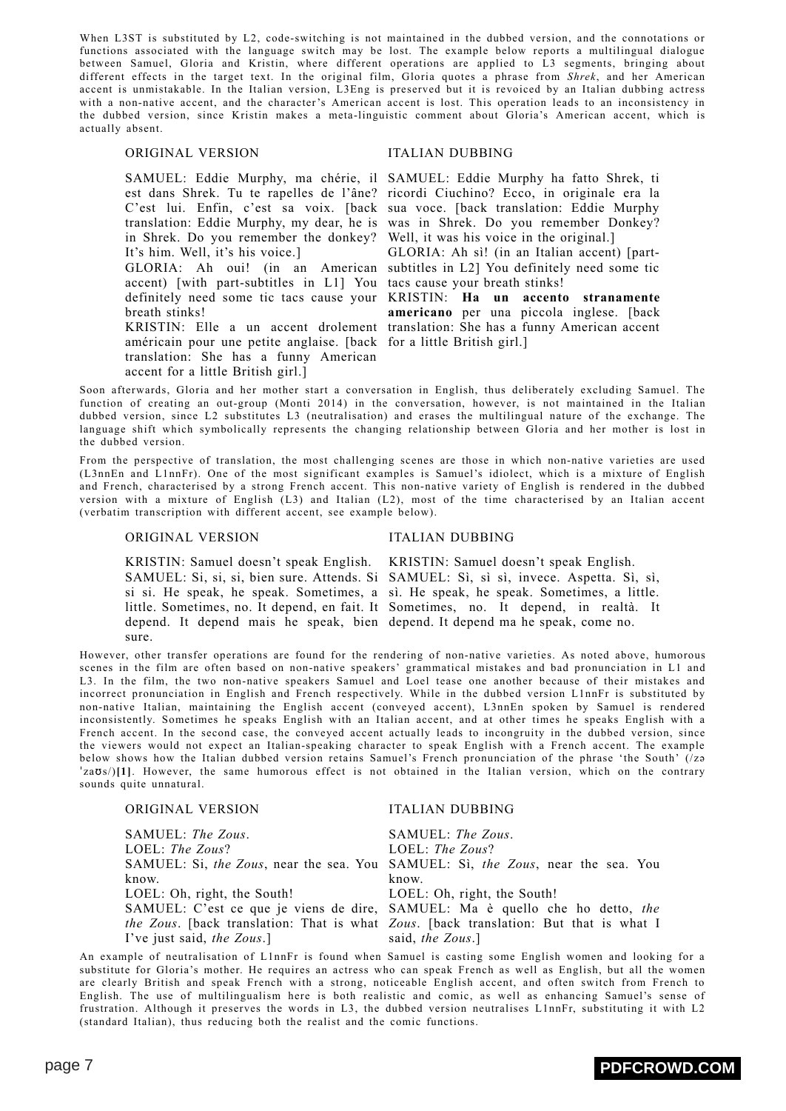When L3ST is substituted by L2, code-switching is not maintained in the dubbed version, and the connotations or functions associated with the language switch may be lost. The example below reports a multilingual dialogue between Samuel, Gloria and Kristin, where different operations are applied to L3 segments, bringing about different effects in the target text. In the original film, Gloria quotes a phrase from *Shrek*, and her American accent is unmistakable. In the Italian version, L3Eng is preserved but it is revoiced by an Italian dubbing actress with a non-native accent, and the character's American accent is lost. This operation leads to an inconsistency in the dubbed version, since Kristin makes a meta-linguistic comment about Gloria's American accent, which is actually absent.

# ORIGINAL VERSION ITALIAN DUBBING

in Shrek. Do you remember the donkey? Well, it was his voice in the original.] It's him. Well, it's his voice.]

accent) [with part-subtitles in L1] You tacs cause your breath stinks! breath stinks!

américain pour une petite anglaise. [back for a little British girl.] translation: She has a funny American accent for a little British girl.]

SAMUEL: Eddie Murphy, ma chérie, il SAMUEL: Eddie Murphy ha fatto Shrek, ti est dans Shrek. Tu te rapelles de l'âne? ricordi Ciuchino? Ecco, in originale era la C'est lui. Enfin, c'est sa voix. [back sua voce. [back translation: Eddie Murphy translation: Eddie Murphy, my dear, he is was in Shrek. Do you remember Donkey?

GLORIA: Ah oui! (in an American subtitles in L2] You definitely need some tic GLORIA: Ah sì! (in an Italian accent) [part-

definitely need some tic tacs cause your KRISTIN: **Ha un accento stranamente** KRISTIN: Elle a un accent drolement translation: She has a funny American accent **americano** per una piccola inglese. [back

Soon afterwards, Gloria and her mother start a conversation in English, thus deliberately excluding Samuel. The function of creating an out-group (Monti 2014) in the conversation, however, is not maintained in the Italian dubbed version, since L2 substitutes L3 (neutralisation) and erases the multilingual nature of the exchange. The language shift which symbolically represents the changing relationship between Gloria and her mother is lost in the dubbed version.

From the perspective of translation, the most challenging scenes are those in which non-native varieties are used (L3nnEn and L1nnFr). One of the most significant examples is Samuel's idiolect, which is a mixture of English and French, characterised by a strong French accent. This non-native variety of English is rendered in the dubbed version with a mixture of English (L3) and Italian (L2), most of the time characterised by an Italian accent (verbatim transcription with different accent, see example below).

### ORIGINAL VERSION ITALIAN DUBBING

KRISTIN: Samuel doesn't speak English. KRISTIN: Samuel doesn't speak English. SAMUEL: Si, si, si, bien sure. Attends. Si SAMUEL: Sì, sì sì, invece. Aspetta. Sì, sì, si si. He speak, he speak. Sometimes, a sì. He speak, he speak. Sometimes, a little. little. Sometimes, no. It depend, en fait. It Sometimes, no. It depend, in realtà. It depend. It depend mais he speak, bien depend. It depend ma he speak, come no. sure.

However, other transfer operations are found for the rendering of non-native varieties. As noted above, humorous scenes in the film are often based on non-native speakers' grammatical mistakes and bad pronunciation in L1 and L3. In the film, the two non-native speakers Samuel and Loel tease one another because of their mistakes and incorrect pronunciation in English and French respectively. While in the dubbed version L1nnFr is substituted by non-native Italian, maintaining the English accent (conveyed accent), L3nnEn spoken by Samuel is rendered inconsistently. Sometimes he speaks English with an Italian accent, and at other times he speaks English with a French accent. In the second case, the conveyed accent actually leads to incongruity in the dubbed version, since the viewers would not expect an Italian-speaking character to speak English with a French accent. The example below shows how the Italian dubbed version retains Samuel's French pronunciation of the phrase 'the South' (/zə ˈzaʊs/)**[\[1\]](#page-9-0)**. However, the same humorous effect is not obtained in the Italian version, which on the contrary sounds quite unnatural.

<span id="page-6-0"></span>

| ORIGINAL VERSION                                        | <b>ITALIAN DUBBING</b>                                                                |
|---------------------------------------------------------|---------------------------------------------------------------------------------------|
| SAMUEL: The Zous.                                       | SAMUEL: The Zous.                                                                     |
| LOEL: The Zous?                                         | LOEL: The Zous?                                                                       |
|                                                         | SAMUEL: Si, the Zous, near the sea. You SAMUEL: Si, the Zous, near the sea. You       |
| know.                                                   | know.                                                                                 |
| LOEL: Oh, right, the South! LOEL: Oh, right, the South! |                                                                                       |
|                                                         | SAMUEL: C'est ce que je viens de dire, SAMUEL: Ma è quello che ho detto, the          |
|                                                         | the Zous. [back translation: That is what Zous. [back translation: But that is what I |
| I've just said, the Zous.                               | said, the Zous.]                                                                      |

An example of neutralisation of L1nnFr is found when Samuel is casting some English women and looking for a substitute for Gloria's mother. He requires an actress who can speak French as well as English, but all the women are clearly British and speak French with a strong, noticeable English accent, and often switch from French to English. The use of multilingualism here is both realistic and comic, as well as enhancing Samuel's sense of frustration. Although it preserves the words in L3, the dubbed version neutralises L1nnFr, substituting it with L2 (standard Italian), thus reducing both the realist and the comic functions.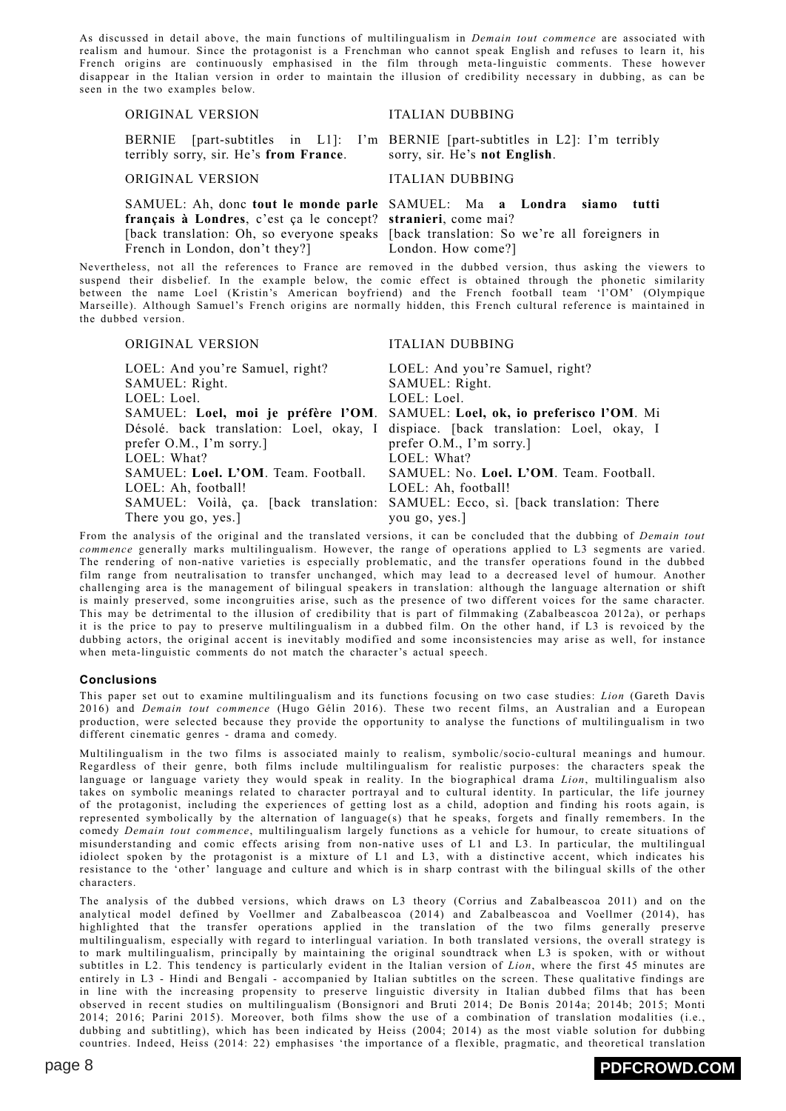As discussed in detail above, the main functions of multilingualism in *Demain tout commence* are associated with realism and humour. Since the protagonist is a Frenchman who cannot speak English and refuses to learn it, his French origins are continuously emphasised in the film through meta-linguistic comments. These however disappear in the Italian version in order to maintain the illusion of credibility necessary in dubbing, as can be seen in the two examples below.

### ORIGINAL VERSION ITALIAN DUBBING

terribly sorry, sir. He's **from France**.

ORIGINAL VERSION ITALIAN DUBBING

**français à Londres**, c'est ça le concept? **stranieri**, come mai? French in London, don't they?]

BERNIE [part-subtitles in L1]: I'm BERNIE [part-subtitles in L2]: I'm terribly sorry, sir. He's **not English**.

SAMUEL: Ah, donc **tout le monde parle** SAMUEL: Ma **a Londra siamo tutti** [back translation: Oh, so everyone speaks [back translation: So we're all foreigners in London. How come?]

Nevertheless, not all the references to France are removed in the dubbed version, thus asking the viewers to suspend their disbelief. In the example below, the comic effect is obtained through the phonetic similarity between the name Loel (Kristin's American boyfriend) and the French football team 'l'OM' (Olympique Marseille). Although Samuel's French origins are normally hidden, this French cultural reference is maintained in the dubbed version.

### ORIGINAL VERSION ITALIAN DUBBING

LOEL: And you're Samuel, right? SAMUEL: Right. LOEL: Loel. SAMUEL: **Loel, moi je préfère l'OM**. SAMUEL: **Loel, ok, io preferisco l'OM**. Mi Désolé. back translation: Loel, okay, I dispiace. [back translation: Loel, okay, I prefer O.M., I'm sorry.] LOEL: What? SAMUEL: **Loel. L'OM**. Team. Football. LOEL: Ah, football! SAMUEL: Voilà, ça. [back translation: SAMUEL: Ecco, sì. [back translation: There There you go, yes.] LOEL: And you're Samuel, right? SAMUEL: Right. LOEL: Loel. prefer O.M., I'm sorry.] LOEL: What? SAMUEL: No. **Loel. L'OM**. Team. Football. LOEL: Ah, football! you go, yes.]

From the analysis of the original and the translated versions, it can be concluded that the dubbing of *Demain tout commence* generally marks multilingualism. However, the range of operations applied to L3 segments are varied. The rendering of non-native varieties is especially problematic, and the transfer operations found in the dubbed film range from neutralisation to transfer unchanged, which may lead to a decreased level of humour. Another challenging area is the management of bilingual speakers in translation: although the language alternation or shift is mainly preserved, some incongruities arise, such as the presence of two different voices for the same character. This may be detrimental to the illusion of credibility that is part of filmmaking (Zabalbeascoa 2012a), or perhaps it is the price to pay to preserve multilingualism in a dubbed film. On the other hand, if L3 is revoiced by the dubbing actors, the original accent is inevitably modified and some inconsistencies may arise as well, for instance when meta-linguistic comments do not match the character's actual speech.

### **Conclusions**

This paper set out to examine multilingualism and its functions focusing on two case studies: *Lion* (Gareth Davis 2016) and *Demain tout commence* (Hugo Gélin 2016). These two recent films, an Australian and a European production, were selected because they provide the opportunity to analyse the functions of multilingualism in two different cinematic genres - drama and comedy.

Multilingualism in the two films is associated mainly to realism, symbolic/socio-cultural meanings and humour. Regardless of their genre, both films include multilingualism for realistic purposes: the characters speak the language or language variety they would speak in reality. In the biographical drama *Lion*, multilingualism also takes on symbolic meanings related to character portrayal and to cultural identity. In particular, the life journey of the protagonist, including the experiences of getting lost as a child, adoption and finding his roots again, is represented symbolically by the alternation of language(s) that he speaks, forgets and finally remembers. In the comedy *Demain tout commence*, multilingualism largely functions as a vehicle for humour, to create situations of misunderstanding and comic effects arising from non-native uses of L1 and L3. In particular, the multilingual idiolect spoken by the protagonist is a mixture of L1 and L3, with a distinctive accent, which indicates his resistance to the 'other' language and culture and which is in sharp contrast with the bilingual skills of the other characters.

The analysis of the dubbed versions, which draws on L3 theory (Corrius and Zabalbeascoa 2011) and on the analytical model defined by Voellmer and Zabalbeascoa (2014) and Zabalbeascoa and Voellmer (2014), has highlighted that the transfer operations applied in the translation of the two films generally preserve multilingualism, especially with regard to interlingual variation. In both translated versions, the overall strategy is to mark multilingualism, principally by maintaining the original soundtrack when L3 is spoken, with or without subtitles in L2. This tendency is particularly evident in the Italian version of *Lion*, where the first 45 minutes are entirely in L3 - Hindi and Bengali - accompanied by Italian subtitles on the screen. These qualitative findings are in line with the increasing propensity to preserve linguistic diversity in Italian dubbed films that has been observed in recent studies on multilingualism (Bonsignori and Bruti 2014; De Bonis 2014a; 2014b; 2015; Monti 2014; 2016; Parini 2015). Moreover, both films show the use of a combination of translation modalities (i.e., dubbing and subtitling), which has been indicated by Heiss (2004; 2014) as the most viable solution for dubbing countries. Indeed, Heiss (2014: 22) emphasises 'the importance of a flexible, pragmatic, and theoretical translation

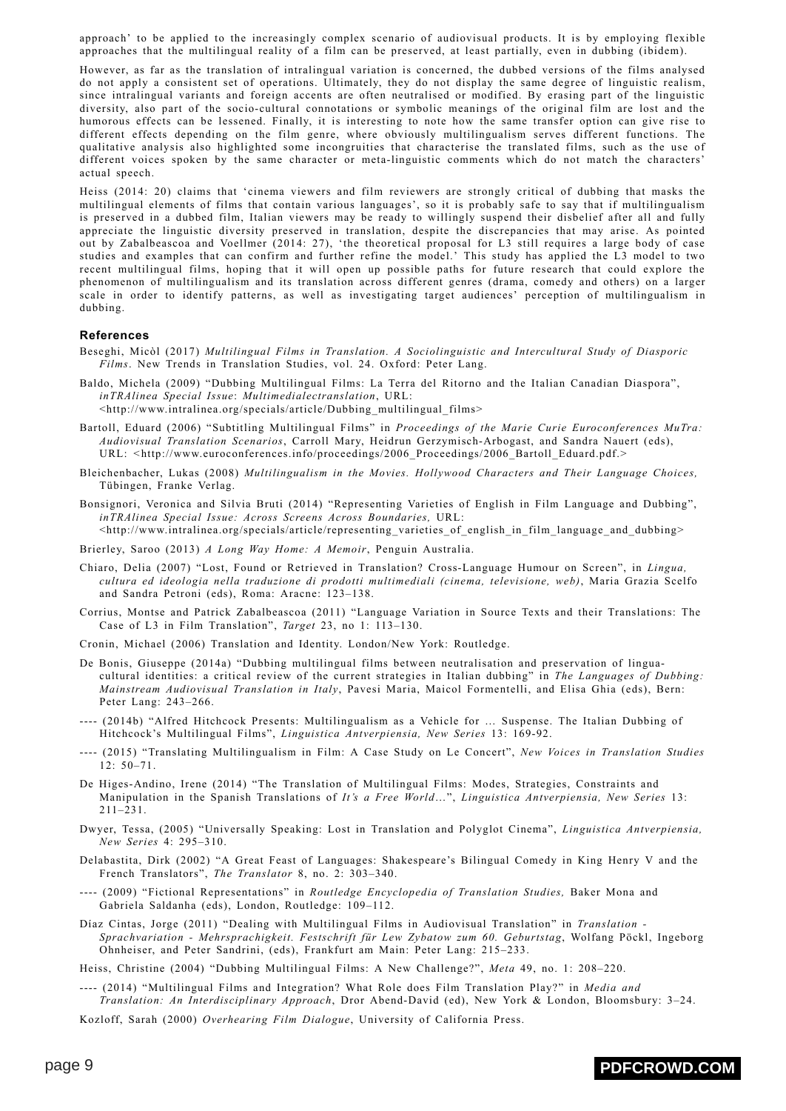approach' to be applied to the increasingly complex scenario of audiovisual products. It is by employing flexible approaches that the multilingual reality of a film can be preserved, at least partially, even in dubbing (ibidem).

However, as far as the translation of intralingual variation is concerned, the dubbed versions of the films analysed do not apply a consistent set of operations. Ultimately, they do not display the same degree of linguistic realism, since intralingual variants and foreign accents are often neutralised or modified. By erasing part of the linguistic diversity, also part of the socio-cultural connotations or symbolic meanings of the original film are lost and the humorous effects can be lessened. Finally, it is interesting to note how the same transfer option can give rise to different effects depending on the film genre, where obviously multilingualism serves different functions. The qualitative analysis also highlighted some incongruities that characterise the translated films, such as the use of different voices spoken by the same character or meta-linguistic comments which do not match the characters' actual speech.

Heiss (2014: 20) claims that 'cinema viewers and film reviewers are strongly critical of dubbing that masks the multilingual elements of films that contain various languages', so it is probably safe to say that if multilingualism is preserved in a dubbed film, Italian viewers may be ready to willingly suspend their disbelief after all and fully appreciate the linguistic diversity preserved in translation, despite the discrepancies that may arise. As pointed out by Zabalbeascoa and Voellmer (2014: 27), 'the theoretical proposal for L3 still requires a large body of case studies and examples that can confirm and further refine the model.' This study has applied the L3 model to two recent multilingual films, hoping that it will open up possible paths for future research that could explore the phenomenon of multilingualism and its translation across different genres (drama, comedy and others) on a larger scale in order to identify patterns, as well as investigating target audiences' perception of multilingualism in dubbing.

### **References**

- Beseghi, Micòl (2017) *Multilingual Films in Translation. A Sociolinguistic and Intercultural Study of Diasporic Films*. New Trends in Translation Studies, vol. 24. Oxford: Peter Lang.
- Baldo, Michela (2009) "Dubbing Multilingual Films: La Terra del Ritorno and the Italian Canadian Diaspora", *inTRAlinea Special Issue*: *Multimedialectranslation*, URL: <http://www.intralinea.org/specials/article/Dubbing\_multilingual\_films>
- Bartoll, Eduard (2006) "Subtitling Multilingual Films" in *Proceedings of the Marie Curie Euroconferences MuTra: Audiovisual Translation Scenarios*, Carroll Mary, Heidrun Gerzymisch-Arbogast, and Sandra Nauert (eds), URL: *<*http://www.euroconferences.info/proceedings/2006\_Proceedings/2006\_Bartoll\_Eduard.pdf.>
- Bleichenbacher, Lukas (2008) *Multilingualism in the Movies. Hollywood Characters and Their Language Choices,* Tübingen, Franke Verlag.
- Bonsignori, Veronica and Silvia Bruti (2014) "Representing Varieties of English in Film Language and Dubbing", *inTRAlinea Special Issue: Across Screens Across Boundaries,* URL:
- <http://www.intralinea.org/specials/article/representing\_varieties\_of\_english\_in\_film\_language\_and\_dubbing>
- Brierley, Saroo (2013) *A Long Way Home: A Memoir*, Penguin Australia.
- Chiaro, Delia (2007) "Lost, Found or Retrieved in Translation? Cross-Language Humour on Screen", in *Lingua, cultura ed ideologia nella traduzione di prodotti multimediali (cinema, televisione, web)*, Maria Grazia Scelfo and Sandra Petroni (eds), Roma: Aracne: 123–138.
- Corrius, Montse and Patrick Zabalbeascoa (2011) "Language Variation in Source Texts and their Translations: The Case of L3 in Film Translation", *Target* 23, no 1: 113–130.
- Cronin, Michael (2006) Translation and Identity. London/New York: Routledge.
- De Bonis, Giuseppe (2014a) "Dubbing multilingual films between neutralisation and preservation of linguacultural identities: a critical review of the current strategies in Italian dubbing" in *The Languages of Dubbing: Mainstream Audiovisual Translation in Italy*, Pavesi Maria, Maicol Formentelli, and Elisa Ghia (eds), Bern: Peter Lang: 243–266.
- ---- (2014b) "Alfred Hitchcock Presents: Multilingualism as a Vehicle for … Suspense. The Italian Dubbing of Hitchcock's Multilingual Films", *Linguistica Antverpiensia, New Series* 13: 169-92.
- ---- (2015) "Translating Multilingualism in Film: A Case Study on Le Concert", *New Voices in Translation Studies*  $12:50-71$
- De Higes-Andino, Irene (2014) "The Translation of Multilingual Films: Modes, Strategies, Constraints and Manipulation in the Spanish Translations of *It's a Free World*…", *Linguistica Antverpiensia, New Series* 13: 211–231.
- Dwyer, Tessa, (2005) "Universally Speaking: Lost in Translation and Polyglot Cinema", *Linguistica Antverpiensia, New Series* 4: 295–310.
- Delabastita, Dirk (2002) "A Great Feast of Languages: Shakespeare's Bilingual Comedy in King Henry V and the French Translators", *The Translator* 8, no. 2: 303–340.
- ---- (2009) "Fictional Representations" in *Routledge Encyclopedia of Translation Studies,* Baker Mona and Gabriela Saldanha (eds), London, Routledge: 109–112.
- Díaz Cintas, Jorge (2011) "Dealing with Multilingual Films in Audiovisual Translation" in *Translation - Sprachvariation - Mehrsprachigkeit. Festschrift für Lew Zybatow zum 60. Geburtstag*, Wolfang Pöckl, Ingeborg Ohnheiser, and Peter Sandrini, (eds), Frankfurt am Main: Peter Lang: 215–233.
- Heiss, Christine (2004) "Dubbing Multilingual Films: A New Challenge?", *Meta* 49, no. 1: 208–220.
- ---- (2014) "Multilingual Films and Integration? What Role does Film Translation Play?" in *Media and Translation: An Interdisciplinary Approach*, Dror Abend-David (ed), New York & London, Bloomsbury: 3–24.

Kozloff, Sarah (2000) *Overhearing Film Dialogue*, University of California Press.